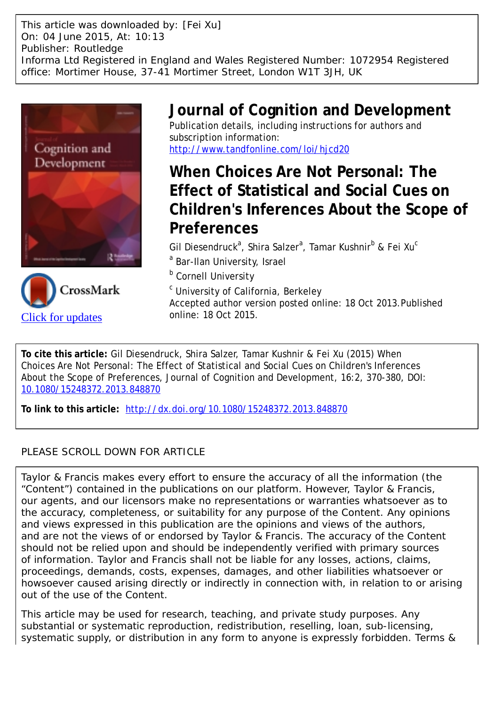This article was downloaded by: [Fei Xu] On: 04 June 2015, At: 10:13 Publisher: Routledge Informa Ltd Registered in England and Wales Registered Number: 1072954 Registered office: Mortimer House, 37-41 Mortimer Street, London W1T 3JH, UK





## **Journal of Cognition and Development** Publication details, including instructions for authors and

subscription information: http://www.tandfonline.com/loi/hjcd20

# **When Choices Are Not Personal: The Effect of Statistical and Social Cues on Children's Inferences About the Scope of Preferences**

Gil Diesendruck<sup>a</sup>, Shira Salzer<sup>a</sup>, Tamar Kushnir<sup>b</sup> & Fei Xu<sup>c</sup>

- <sup>a</sup> Bar-Ilan University, Israel
- **b** Cornell University

<sup>c</sup> University of California, Berkeley

Accepted author version posted online: 18 Oct 2013.Published online: 18 Oct 2015.

**To cite this article:** Gil Diesendruck, Shira Salzer, Tamar Kushnir & Fei Xu (2015) When Choices Are Not Personal: The Effect of Statistical and Social Cues on Children's Inferences About the Scope of Preferences, Journal of Cognition and Development, 16:2, 370-380, DOI: 10.1080/15248372.2013.848870

**To link to this article:** http://dx.doi.org/10.1080/15248372.2013.848870

## PLEASE SCROLL DOWN FOR ARTICLE

Taylor & Francis makes every effort to ensure the accuracy of all the information (the "Content") contained in the publications on our platform. However, Taylor & Francis, our agents, and our licensors make no representations or warranties whatsoever as to the accuracy, completeness, or suitability for any purpose of the Content. Any opinions and views expressed in this publication are the opinions and views of the authors, and are not the views of or endorsed by Taylor & Francis. The accuracy of the Content should not be relied upon and should be independently verified with primary sources of information. Taylor and Francis shall not be liable for any losses, actions, claims, proceedings, demands, costs, expenses, damages, and other liabilities whatsoever or howsoever caused arising directly or indirectly in connection with, in relation to or arising out of the use of the Content.

This article may be used for research, teaching, and private study purposes. Any substantial or systematic reproduction, redistribution, reselling, loan, sub-licensing, systematic supply, or distribution in any form to anyone is expressly forbidden. Terms &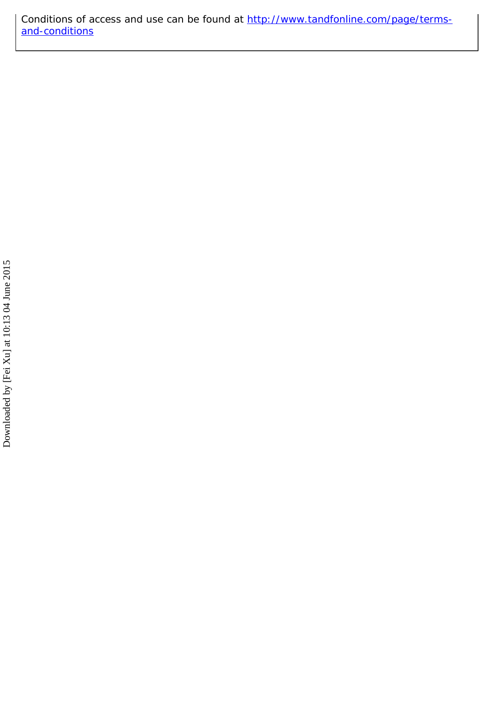Conditions of access and use can be found at http://www.tandfonline.com/page/termsand-conditions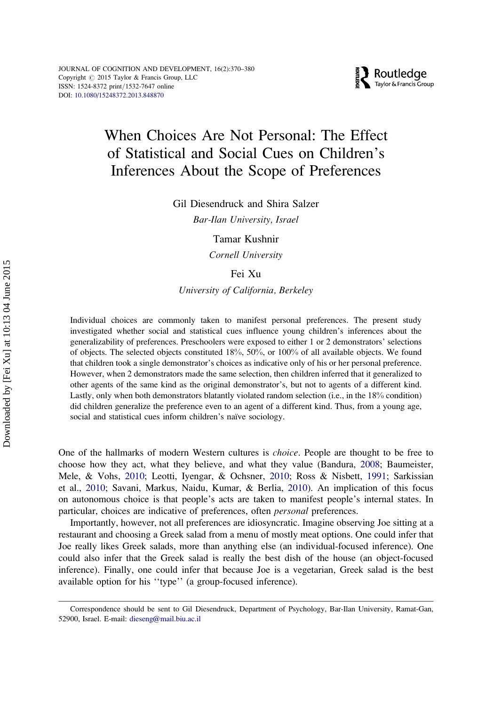

## When Choices Are Not Personal: The Effect of Statistical and Social Cues on Children's Inferences About the Scope of Preferences

Gil Diesendruck and Shira Salzer

Bar-Ilan University, Israel

Tamar Kushnir

Cornell University

Fei Xu

University of California, Berkeley

Individual choices are commonly taken to manifest personal preferences. The present study investigated whether social and statistical cues influence young children's inferences about the generalizability of preferences. Preschoolers were exposed to either 1 or 2 demonstrators' selections of objects. The selected objects constituted 18%, 50%, or 100% of all available objects. We found that children took a single demonstrator's choices as indicative only of his or her personal preference. However, when 2 demonstrators made the same selection, then children inferred that it generalized to other agents of the same kind as the original demonstrator's, but not to agents of a different kind. Lastly, only when both demonstrators blatantly violated random selection (i.e., in the 18% condition) did children generalize the preference even to an agent of a different kind. Thus, from a young age, social and statistical cues inform children's naïve sociology.

One of the hallmarks of modern Western cultures is choice. People are thought to be free to choose how they act, what they believe, and what they value (Bandura, 2008; Baumeister, Mele, & Vohs, 2010; Leotti, Iyengar, & Ochsner, 2010; Ross & Nisbett, 1991; Sarkissian et al., 2010; Savani, Markus, Naidu, Kumar, & Berlia, 2010). An implication of this focus on autonomous choice is that people's acts are taken to manifest people's internal states. In particular, choices are indicative of preferences, often personal preferences.

Importantly, however, not all preferences are idiosyncratic. Imagine observing Joe sitting at a restaurant and choosing a Greek salad from a menu of mostly meat options. One could infer that Joe really likes Greek salads, more than anything else (an individual-focused inference). One could also infer that the Greek salad is really the best dish of the house (an object-focused inference). Finally, one could infer that because Joe is a vegetarian, Greek salad is the best available option for his ''type'' (a group-focused inference).

Correspondence should be sent to Gil Diesendruck, Department of Psychology, Bar-Ilan University, Ramat-Gan, 52900, Israel. E-mail: dieseng@mail.biu.ac.il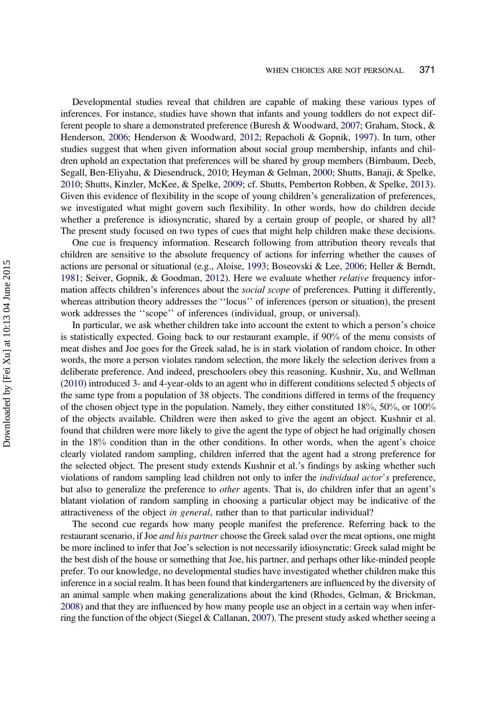Developmental studies reveal that children are capable of making these various types of inferences. For instance, studies have shown that infants and young toddlers do not expect different people to share a demonstrated preference (Buresh & Woodward, 2007; Graham, Stock, & Henderson, 2006; Henderson & Woodward, 2012; Repacholi & Gopnik, 1997). In turn, other studies suggest that when given information about social group membership, infants and children uphold an expectation that preferences will be shared by group members (Birnbaum, Deeb, Segall, Ben-Eliyahu, & Diesendruck, 2010; Heyman & Gelman, 2000; Shutts, Banaji, & Spelke, 2010; Shutts, Kinzler, McKee, & Spelke, 2009; cf. Shutts, Pemberton Robben, & Spelke, 2013). Given this evidence of flexibility in the scope of young children's generalization of preferences, we investigated what might govern such flexibility. In other words, how do children decide whether a preference is idiosyncratic, shared by a certain group of people, or shared by all? The present study focused on two types of cues that might help children make these decisions.

One cue is frequency information. Research following from attribution theory reveals that children are sensitive to the absolute frequency of actions for inferring whether the causes of actions are personal or situational (e.g., Aloise, 1993; Boseovski & Lee, 2006; Heller & Berndt, 1981; Seiver, Gopnik, & Goodman, 2012). Here we evaluate whether *relative* frequency information affects children's inferences about the *social scope* of preferences. Putting it differently, whereas attribution theory addresses the ''locus'' of inferences (person or situation), the present work addresses the ''scope'' of inferences (individual, group, or universal).

In particular, we ask whether children take into account the extent to which a person's choice is statistically expected. Going back to our restaurant example, if 90% of the menu consists of meat dishes and Joe goes for the Greek salad, he is in stark violation of random choice. In other words, the more a person violates random selection, the more likely the selection derives from a deliberate preference. And indeed, preschoolers obey this reasoning. Kushnir, Xu, and Wellman (2010) introduced 3- and 4-year-olds to an agent who in different conditions selected 5 objects of the same type from a population of 38 objects. The conditions differed in terms of the frequency of the chosen object type in the population. Namely, they either constituted 18%, 50%, or 100% of the objects available. Children were then asked to give the agent an object. Kushnir et al. found that children were more likely to give the agent the type of object he had originally chosen in the 18% condition than in the other conditions. In other words, when the agent's choice clearly violated random sampling, children inferred that the agent had a strong preference for the selected object. The present study extends Kushnir et al.'s findings by asking whether such violations of random sampling lead children not only to infer the *individual actor's* preference, but also to generalize the preference to *other* agents. That is, do children infer that an agent's blatant violation of random sampling in choosing a particular object may be indicative of the attractiveness of the object in general, rather than to that particular individual?

The second cue regards how many people manifest the preference. Referring back to the restaurant scenario, if Joe *and his partner* choose the Greek salad over the meat options, one might be more inclined to infer that Joe's selection is not necessarily idiosyncratic: Greek salad might be the best dish of the house or something that Joe, his partner, and perhaps other like-minded people prefer. To our knowledge, no developmental studies have investigated whether children make this inference in a social realm. It has been found that kindergarteners are influenced by the diversity of an animal sample when making generalizations about the kind (Rhodes, Gelman, & Brickman, 2008) and that they are influenced by how many people use an object in a certain way when inferring the function of the object (Siegel & Callanan, 2007). The present study asked whether seeing a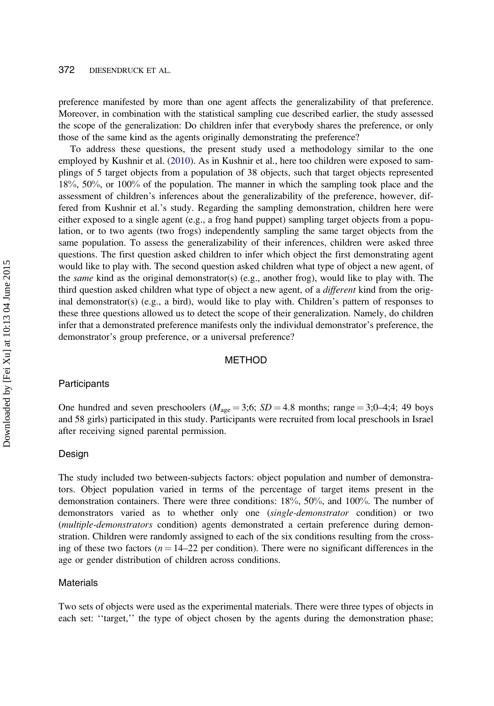preference manifested by more than one agent affects the generalizability of that preference. Moreover, in combination with the statistical sampling cue described earlier, the study assessed the scope of the generalization: Do children infer that everybody shares the preference, or only those of the same kind as the agents originally demonstrating the preference?

To address these questions, the present study used a methodology similar to the one employed by Kushnir et al. (2010). As in Kushnir et al., here too children were exposed to samplings of 5 target objects from a population of 38 objects, such that target objects represented 18%, 50%, or 100% of the population. The manner in which the sampling took place and the assessment of children's inferences about the generalizability of the preference, however, differed from Kushnir et al.'s study. Regarding the sampling demonstration, children here were either exposed to a single agent (e.g., a frog hand puppet) sampling target objects from a population, or to two agents (two frogs) independently sampling the same target objects from the same population. To assess the generalizability of their inferences, children were asked three questions. The first question asked children to infer which object the first demonstrating agent would like to play with. The second question asked children what type of object a new agent, of the *same* kind as the original demonstrator(s) (e.g., another frog), would like to play with. The third question asked children what type of object a new agent, of a different kind from the original demonstrator(s) (e.g., a bird), would like to play with. Children's pattern of responses to these three questions allowed us to detect the scope of their generalization. Namely, do children infer that a demonstrated preference manifests only the individual demonstrator's preference, the demonstrator's group preference, or a universal preference?

#### METHOD

#### **Participants**

One hundred and seven preschoolers ( $M_{\text{age}} = 3;6$ ;  $SD = 4.8$  months; range = 3;0–4;4; 49 boys and 58 girls) participated in this study. Participants were recruited from local preschools in Israel after receiving signed parental permission.

#### Design

The study included two between-subjects factors: object population and number of demonstrators. Object population varied in terms of the percentage of target items present in the demonstration containers. There were three conditions: 18%, 50%, and 100%. The number of demonstrators varied as to whether only one (single-demonstrator condition) or two (multiple-demonstrators condition) agents demonstrated a certain preference during demonstration. Children were randomly assigned to each of the six conditions resulting from the crossing of these two factors ( $n = 14-22$  per condition). There were no significant differences in the age or gender distribution of children across conditions.

#### Materials

Two sets of objects were used as the experimental materials. There were three types of objects in each set: "target," the type of object chosen by the agents during the demonstration phase;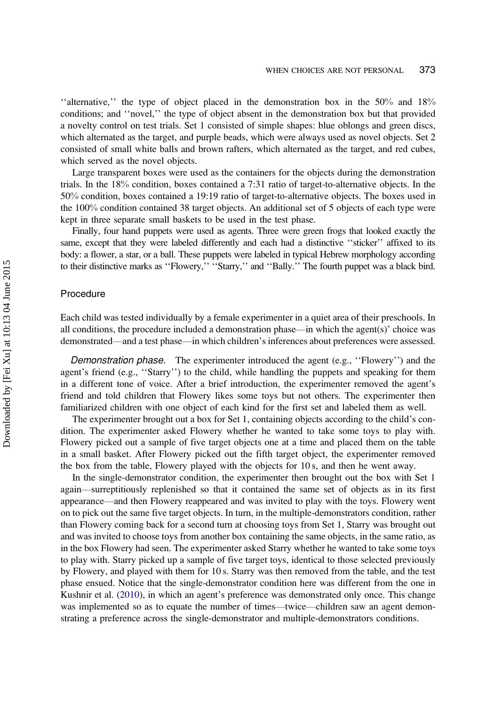"alternative," the type of object placed in the demonstration box in the  $50\%$  and  $18\%$ conditions; and ''novel,'' the type of object absent in the demonstration box but that provided a novelty control on test trials. Set 1 consisted of simple shapes: blue oblongs and green discs, which alternated as the target, and purple beads, which were always used as novel objects. Set 2 consisted of small white balls and brown rafters, which alternated as the target, and red cubes, which served as the novel objects.

Large transparent boxes were used as the containers for the objects during the demonstration trials. In the 18% condition, boxes contained a 7:31 ratio of target-to-alternative objects. In the 50% condition, boxes contained a 19:19 ratio of target-to-alternative objects. The boxes used in the 100% condition contained 38 target objects. An additional set of 5 objects of each type were kept in three separate small baskets to be used in the test phase.

Finally, four hand puppets were used as agents. Three were green frogs that looked exactly the same, except that they were labeled differently and each had a distinctive "sticker" affixed to its body: a flower, a star, or a ball. These puppets were labeled in typical Hebrew morphology according to their distinctive marks as "Flowery," "Starry," and "Bally." The fourth puppet was a black bird.

#### Procedure

Each child was tested individually by a female experimenter in a quiet area of their preschools. In all conditions, the procedure included a demonstration phase—in which the agent(s)' choice was demonstrated—and a test phase—in which children's inferences about preferences were assessed.

Demonstration phase. The experimenter introduced the agent (e.g., "Flowery") and the agent's friend (e.g., ''Starry'') to the child, while handling the puppets and speaking for them in a different tone of voice. After a brief introduction, the experimenter removed the agent's friend and told children that Flowery likes some toys but not others. The experimenter then familiarized children with one object of each kind for the first set and labeled them as well.

The experimenter brought out a box for Set 1, containing objects according to the child's condition. The experimenter asked Flowery whether he wanted to take some toys to play with. Flowery picked out a sample of five target objects one at a time and placed them on the table in a small basket. After Flowery picked out the fifth target object, the experimenter removed the box from the table, Flowery played with the objects for 10 s, and then he went away.

In the single-demonstrator condition, the experimenter then brought out the box with Set 1 again—surreptitiously replenished so that it contained the same set of objects as in its first appearance—and then Flowery reappeared and was invited to play with the toys. Flowery went on to pick out the same five target objects. In turn, in the multiple-demonstrators condition, rather than Flowery coming back for a second turn at choosing toys from Set 1, Starry was brought out and was invited to choose toys from another box containing the same objects, in the same ratio, as in the box Flowery had seen. The experimenter asked Starry whether he wanted to take some toys to play with. Starry picked up a sample of five target toys, identical to those selected previously by Flowery, and played with them for 10 s. Starry was then removed from the table, and the test phase ensued. Notice that the single-demonstrator condition here was different from the one in Kushnir et al. (2010), in which an agent's preference was demonstrated only once. This change was implemented so as to equate the number of times—twice—children saw an agent demonstrating a preference across the single-demonstrator and multiple-demonstrators conditions.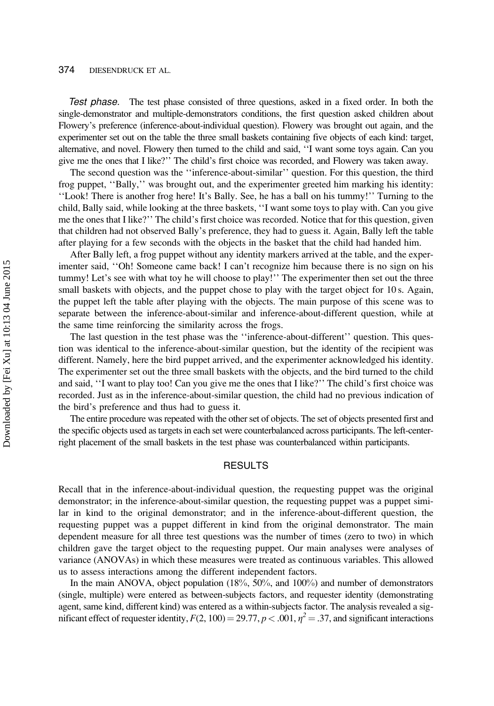#### 374 DIESENDRUCK ET AL.

Test phase. The test phase consisted of three questions, asked in a fixed order. In both the single-demonstrator and multiple-demonstrators conditions, the first question asked children about Flowery's preference (inference-about-individual question). Flowery was brought out again, and the experimenter set out on the table the three small baskets containing five objects of each kind: target, alternative, and novel. Flowery then turned to the child and said, ''I want some toys again. Can you give me the ones that I like?'' The child's first choice was recorded, and Flowery was taken away.

The second question was the ''inference-about-similar'' question. For this question, the third frog puppet, ''Bally,'' was brought out, and the experimenter greeted him marking his identity: ''Look! There is another frog here! It's Bally. See, he has a ball on his tummy!'' Turning to the child, Bally said, while looking at the three baskets, ''I want some toys to play with. Can you give me the ones that I like?'' The child's first choice was recorded. Notice that for this question, given that children had not observed Bally's preference, they had to guess it. Again, Bally left the table after playing for a few seconds with the objects in the basket that the child had handed him.

After Bally left, a frog puppet without any identity markers arrived at the table, and the experimenter said, ''Oh! Someone came back! I can't recognize him because there is no sign on his tummy! Let's see with what toy he will choose to play!'' The experimenter then set out the three small baskets with objects, and the puppet chose to play with the target object for 10 s. Again, the puppet left the table after playing with the objects. The main purpose of this scene was to separate between the inference-about-similar and inference-about-different question, while at the same time reinforcing the similarity across the frogs.

The last question in the test phase was the ''inference-about-different'' question. This question was identical to the inference-about-similar question, but the identity of the recipient was different. Namely, here the bird puppet arrived, and the experimenter acknowledged his identity. The experimenter set out the three small baskets with the objects, and the bird turned to the child and said, ''I want to play too! Can you give me the ones that I like?'' The child's first choice was recorded. Just as in the inference-about-similar question, the child had no previous indication of the bird's preference and thus had to guess it.

The entire procedure was repeated with the other set of objects. The set of objects presented first and the specific objects used as targets in each set were counterbalanced across participants. The left-centerright placement of the small baskets in the test phase was counterbalanced within participants.

#### RESULTS

Recall that in the inference-about-individual question, the requesting puppet was the original demonstrator; in the inference-about-similar question, the requesting puppet was a puppet similar in kind to the original demonstrator; and in the inference-about-different question, the requesting puppet was a puppet different in kind from the original demonstrator. The main dependent measure for all three test questions was the number of times (zero to two) in which children gave the target object to the requesting puppet. Our main analyses were analyses of variance (ANOVAs) in which these measures were treated as continuous variables. This allowed us to assess interactions among the different independent factors.

In the main ANOVA, object population (18%, 50%, and 100%) and number of demonstrators (single, multiple) were entered as between-subjects factors, and requester identity (demonstrating agent, same kind, different kind) was entered as a within-subjects factor. The analysis revealed a significant effect of requester identity,  $F(2, 100) = 29.77$ ,  $p < .001$ ,  $\eta^2 = .37$ , and significant interactions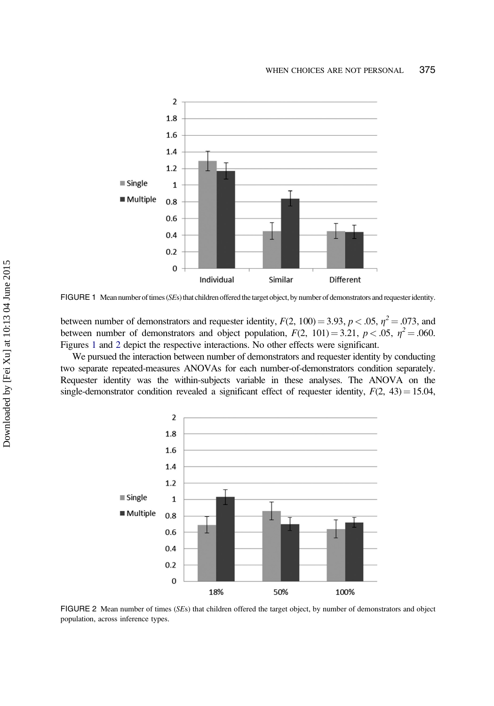

FIGURE 1 Mean number of times (SEs) that children offered the target object, by number of demonstrators and requester identity.

between number of demonstrators and requester identity,  $F(2, 100) = 3.93$ ,  $p < .05$ ,  $\eta^2 = .073$ , and between number of demonstrators and object population,  $F(2, 101) = 3.21$ ,  $p < .05$ ,  $\eta^2 = .060$ . Figures 1 and 2 depict the respective interactions. No other effects were significant.

We pursued the interaction between number of demonstrators and requester identity by conducting two separate repeated-measures ANOVAs for each number-of-demonstrators condition separately. Requester identity was the within-subjects variable in these analyses. The ANOVA on the single-demonstrator condition revealed a significant effect of requester identity,  $F(2, 43) = 15.04$ ,



FIGURE 2 Mean number of times (SEs) that children offered the target object, by number of demonstrators and object population, across inference types.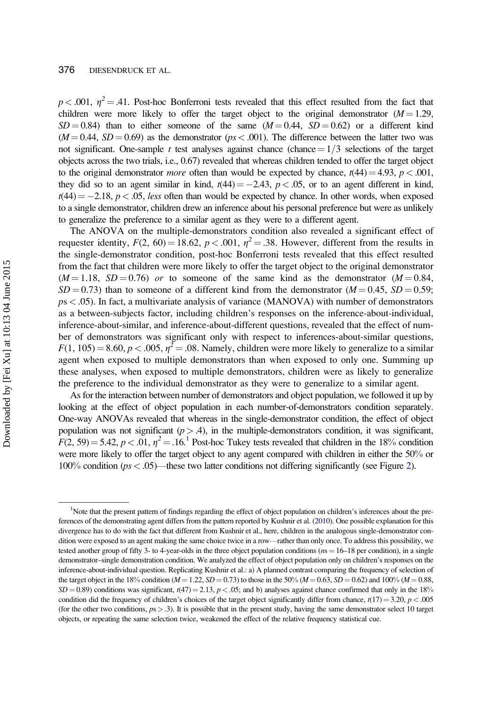$p < .001$ ,  $\eta^2 = .41$ . Post-hoc Bonferroni tests revealed that this effect resulted from the fact that children were more likely to offer the target object to the original demonstrator  $(M = 1.29$ ,  $SD = 0.84$ ) than to either someone of the same  $(M = 0.44, SD = 0.62)$  or a different kind  $(M = 0.44, SD = 0.69)$  as the demonstrator (ps < .001). The difference between the latter two was not significant. One-sample t test analyses against chance (chance  $= 1/3$  selections of the target objects across the two trials, i.e., 0.67) revealed that whereas children tended to offer the target object to the original demonstrator *more* often than would be expected by chance,  $t(44) = 4.93$ ,  $p < .001$ , they did so to an agent similar in kind,  $t(44) = -2.43$ ,  $p < .05$ , or to an agent different in kind,  $t(44) = -2.18$ ,  $p < .05$ , less often than would be expected by chance. In other words, when exposed to a single demonstrator, children drew an inference about his personal preference but were as unlikely to generalize the preference to a similar agent as they were to a different agent.

The ANOVA on the multiple-demonstrators condition also revealed a significant effect of requester identity,  $F(2, 60) = 18.62$ ,  $p < .001$ ,  $\eta^2 = .38$ . However, different from the results in the single-demonstrator condition, post-hoc Bonferroni tests revealed that this effect resulted from the fact that children were more likely to offer the target object to the original demonstrator  $(M = 1.18, SD = 0.76)$  or to someone of the same kind as the demonstrator  $(M = 0.84,$  $SD = 0.73$ ) than to someone of a different kind from the demonstrator ( $M = 0.45$ ,  $SD = 0.59$ ; ps < .05). In fact, a multivariate analysis of variance (MANOVA) with number of demonstrators as a between-subjects factor, including children's responses on the inference-about-individual, inference-about-similar, and inference-about-different questions, revealed that the effect of number of demonstrators was significant only with respect to inferences-about-similar questions,  $F(1, 105) = 8.60, p < .005, \eta^2 = .08$ . Namely, children were more likely to generalize to a similar agent when exposed to multiple demonstrators than when exposed to only one. Summing up these analyses, when exposed to multiple demonstrators, children were as likely to generalize the preference to the individual demonstrator as they were to generalize to a similar agent.

As for the interaction between number of demonstrators and object population, we followed it up by looking at the effect of object population in each number-of-demonstrators condition separately. One-way ANOVAs revealed that whereas in the single-demonstrator condition, the effect of object population was not significant ( $p > .4$ ), in the multiple-demonstrators condition, it was significant,  $F(2, 59) = 5.42, p < .01, \eta^2 = .16$ .<sup>1</sup> Post-hoc Tukey tests revealed that children in the 18% condition were more likely to offer the target object to any agent compared with children in either the 50% or 100% condition ( $ps < .05$ )—these two latter conditions not differing significantly (see Figure 2).

<sup>&</sup>lt;sup>1</sup>Note that the present pattern of findings regarding the effect of object population on children's inferences about the preferences of the demonstrating agent differs from the pattern reported by Kushnir et al. (2010). One possible explanation for this divergence has to do with the fact that different from Kushnir et al., here, children in the analogous single-demonstrator condition were exposed to an agent making the same choice twice in a row—rather than only once. To address this possibility, we tested another group of fifty 3- to 4-year-olds in the three object population conditions ( $n = 16-18$  per condition), in a single demonstrator–single demonstration condition. We analyzed the effect of object population only on children's responses on the inference-about-individual question. Replicating Kushnir et al.: a) A planned contrast comparing the frequency of selection of the target object in the 18% condition ( $M = 1.22$ ,  $SD = 0.73$ ) to those in the 50% ( $M = 0.63$ ,  $SD = 0.62$ ) and 100% ( $M = 0.88$ ,  $SD = 0.89$ ) conditions was significant,  $t(47) = 2.13$ ,  $p < .05$ ; and b) analyses against chance confirmed that only in the 18% condition did the frequency of children's choices of the target object significantly differ from chance,  $t(17) = 3.20, p < .005$ (for the other two conditions,  $ps > .3$ ). It is possible that in the present study, having the same demonstrator select 10 target objects, or repeating the same selection twice, weakened the effect of the relative frequency statistical cue.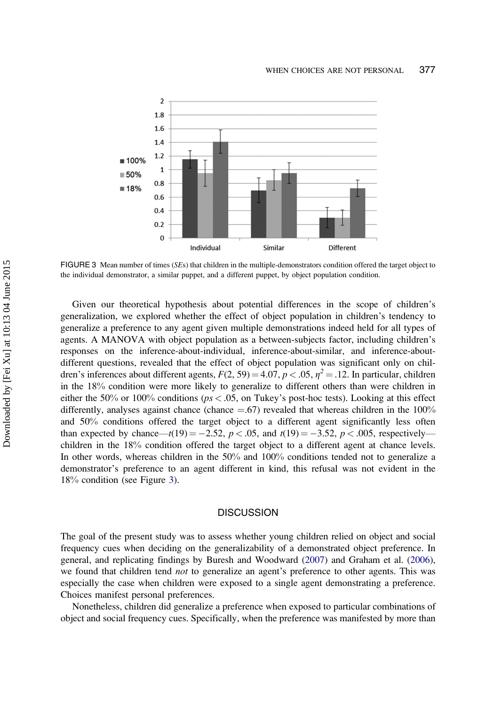

FIGURE 3 Mean number of times (SEs) that children in the multiple-demonstrators condition offered the target object to the individual demonstrator, a similar puppet, and a different puppet, by object population condition.

Given our theoretical hypothesis about potential differences in the scope of children's generalization, we explored whether the effect of object population in children's tendency to generalize a preference to any agent given multiple demonstrations indeed held for all types of agents. A MANOVA with object population as a between-subjects factor, including children's responses on the inference-about-individual, inference-about-similar, and inference-aboutdifferent questions, revealed that the effect of object population was significant only on children's inferences about different agents,  $F(2, 59) = 4.07$ ,  $p < .05$ ,  $\eta^2 = .12$ . In particular, children in the 18% condition were more likely to generalize to different others than were children in either the 50% or 100% conditions ( $ps < .05$ , on Tukey's post-hoc tests). Looking at this effect differently, analyses against chance (chance  $=$  .67) revealed that whereas children in the 100% and 50% conditions offered the target object to a different agent significantly less often than expected by chance— $t(19) = -2.52$ ,  $p < .05$ , and  $t(19) = -3.52$ ,  $p < .005$ , respectively children in the 18% condition offered the target object to a different agent at chance levels. In other words, whereas children in the 50% and 100% conditions tended not to generalize a demonstrator's preference to an agent different in kind, this refusal was not evident in the 18% condition (see Figure 3).

#### **DISCUSSION**

The goal of the present study was to assess whether young children relied on object and social frequency cues when deciding on the generalizability of a demonstrated object preference. In general, and replicating findings by Buresh and Woodward (2007) and Graham et al. (2006), we found that children tend *not* to generalize an agent's preference to other agents. This was especially the case when children were exposed to a single agent demonstrating a preference. Choices manifest personal preferences.

Nonetheless, children did generalize a preference when exposed to particular combinations of object and social frequency cues. Specifically, when the preference was manifested by more than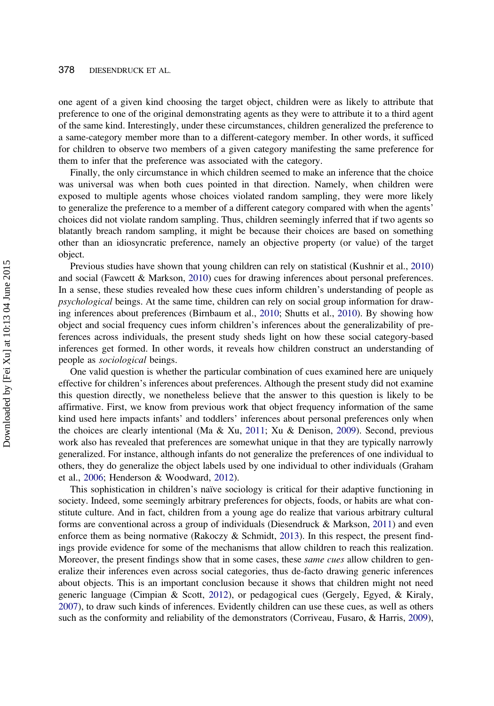#### 378 DIESENDRUCK ET AL.

one agent of a given kind choosing the target object, children were as likely to attribute that preference to one of the original demonstrating agents as they were to attribute it to a third agent of the same kind. Interestingly, under these circumstances, children generalized the preference to a same-category member more than to a different-category member. In other words, it sufficed for children to observe two members of a given category manifesting the same preference for them to infer that the preference was associated with the category.

Finally, the only circumstance in which children seemed to make an inference that the choice was universal was when both cues pointed in that direction. Namely, when children were exposed to multiple agents whose choices violated random sampling, they were more likely to generalize the preference to a member of a different category compared with when the agents' choices did not violate random sampling. Thus, children seemingly inferred that if two agents so blatantly breach random sampling, it might be because their choices are based on something other than an idiosyncratic preference, namely an objective property (or value) of the target object.

Previous studies have shown that young children can rely on statistical (Kushnir et al., 2010) and social (Fawcett & Markson, 2010) cues for drawing inferences about personal preferences. In a sense, these studies revealed how these cues inform children's understanding of people as psychological beings. At the same time, children can rely on social group information for drawing inferences about preferences (Birnbaum et al., 2010; Shutts et al., 2010). By showing how object and social frequency cues inform children's inferences about the generalizability of preferences across individuals, the present study sheds light on how these social category-based inferences get formed. In other words, it reveals how children construct an understanding of people as sociological beings.

One valid question is whether the particular combination of cues examined here are uniquely effective for children's inferences about preferences. Although the present study did not examine this question directly, we nonetheless believe that the answer to this question is likely to be affirmative. First, we know from previous work that object frequency information of the same kind used here impacts infants' and toddlers' inferences about personal preferences only when the choices are clearly intentional (Ma & Xu, 2011; Xu & Denison, 2009). Second, previous work also has revealed that preferences are somewhat unique in that they are typically narrowly generalized. For instance, although infants do not generalize the preferences of one individual to others, they do generalize the object labels used by one individual to other individuals (Graham et al., 2006; Henderson & Woodward, 2012).

This sophistication in children's naïve sociology is critical for their adaptive functioning in society. Indeed, some seemingly arbitrary preferences for objects, foods, or habits are what constitute culture. And in fact, children from a young age do realize that various arbitrary cultural forms are conventional across a group of individuals (Diesendruck & Markson, 2011) and even enforce them as being normative (Rakoczy & Schmidt, 2013). In this respect, the present findings provide evidence for some of the mechanisms that allow children to reach this realization. Moreover, the present findings show that in some cases, these *same cues* allow children to generalize their inferences even across social categories, thus de-facto drawing generic inferences about objects. This is an important conclusion because it shows that children might not need generic language (Cimpian & Scott, 2012), or pedagogical cues (Gergely, Egyed, & Kiraly, 2007), to draw such kinds of inferences. Evidently children can use these cues, as well as others such as the conformity and reliability of the demonstrators (Corriveau, Fusaro, & Harris, 2009),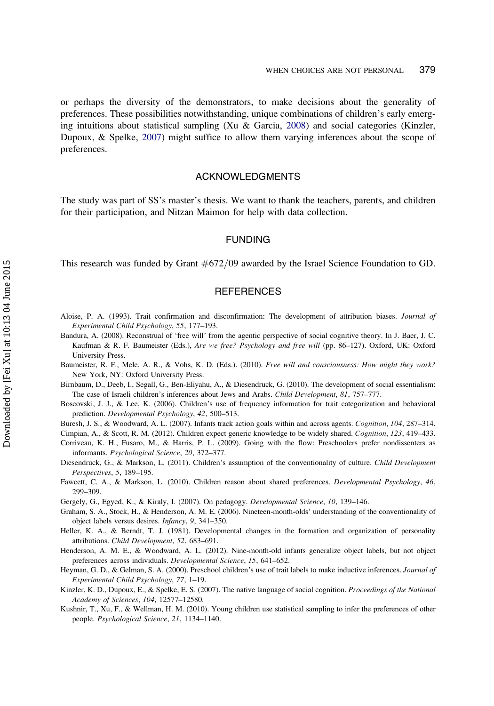or perhaps the diversity of the demonstrators, to make decisions about the generality of preferences. These possibilities notwithstanding, unique combinations of children's early emerging intuitions about statistical sampling (Xu & Garcia, 2008) and social categories (Kinzler, Dupoux, & Spelke, 2007) might suffice to allow them varying inferences about the scope of preferences.

#### ACKNOWLEDGMENTS

The study was part of SS's master's thesis. We want to thank the teachers, parents, and children for their participation, and Nitzan Maimon for help with data collection.

#### FUNDING

This research was funded by Grant  $\#672/09$  awarded by the Israel Science Foundation to GD.

#### **REFERENCES**

- Aloise, P. A. (1993). Trait confirmation and disconfirmation: The development of attribution biases. Journal of Experimental Child Psychology, 55, 177–193.
- Bandura, A. (2008). Reconstrual of 'free will' from the agentic perspective of social cognitive theory. In J. Baer, J. C. Kaufman & R. F. Baumeister (Eds.), Are we free? Psychology and free will (pp. 86–127). Oxford, UK: Oxford University Press.
- Baumeister, R. F., Mele, A. R., & Vohs, K. D. (Eds.). (2010). Free will and consciousness: How might they work? New York, NY: Oxford University Press.
- Birnbaum, D., Deeb, I., Segall, G., Ben-Eliyahu, A., & Diesendruck, G. (2010). The development of social essentialism: The case of Israeli children's inferences about Jews and Arabs. Child Development, 81, 757–777.
- Boseovski, J. J., & Lee, K. (2006). Children's use of frequency information for trait categorization and behavioral prediction. Developmental Psychology, 42, 500–513.
- Buresh, J. S., & Woodward, A. L. (2007). Infants track action goals within and across agents. Cognition, 104, 287–314.
- Cimpian, A., & Scott, R. M. (2012). Children expect generic knowledge to be widely shared. Cognition, 123, 419–433.
- Corriveau, K. H., Fusaro, M., & Harris, P. L. (2009). Going with the flow: Preschoolers prefer nondissenters as informants. Psychological Science, 20, 372–377.
- Diesendruck, G., & Markson, L. (2011). Children's assumption of the conventionality of culture. Child Development Perspectives, 5, 189–195.
- Fawcett, C. A., & Markson, L. (2010). Children reason about shared preferences. Developmental Psychology, 46, 299–309.
- Gergely, G., Egyed, K., & Kiraly, I. (2007). On pedagogy. Developmental Science, 10, 139–146.
- Graham, S. A., Stock, H., & Henderson, A. M. E. (2006). Nineteen-month-olds' understanding of the conventionality of object labels versus desires. Infancy, 9, 341–350.
- Heller, K. A., & Berndt, T. J. (1981). Developmental changes in the formation and organization of personality attributions. Child Development, 52, 683–691.
- Henderson, A. M. E., & Woodward, A. L. (2012). Nine-month-old infants generalize object labels, but not object preferences across individuals. Developmental Science, 15, 641–652.
- Heyman, G. D., & Gelman, S. A. (2000). Preschool children's use of trait labels to make inductive inferences. Journal of Experimental Child Psychology, 77, 1–19.
- Kinzler, K. D., Dupoux, E., & Spelke, E. S. (2007). The native language of social cognition. Proceedings of the National Academy of Sciences, 104, 12577–12580.
- Kushnir, T., Xu, F., & Wellman, H. M. (2010). Young children use statistical sampling to infer the preferences of other people. Psychological Science, 21, 1134–1140.